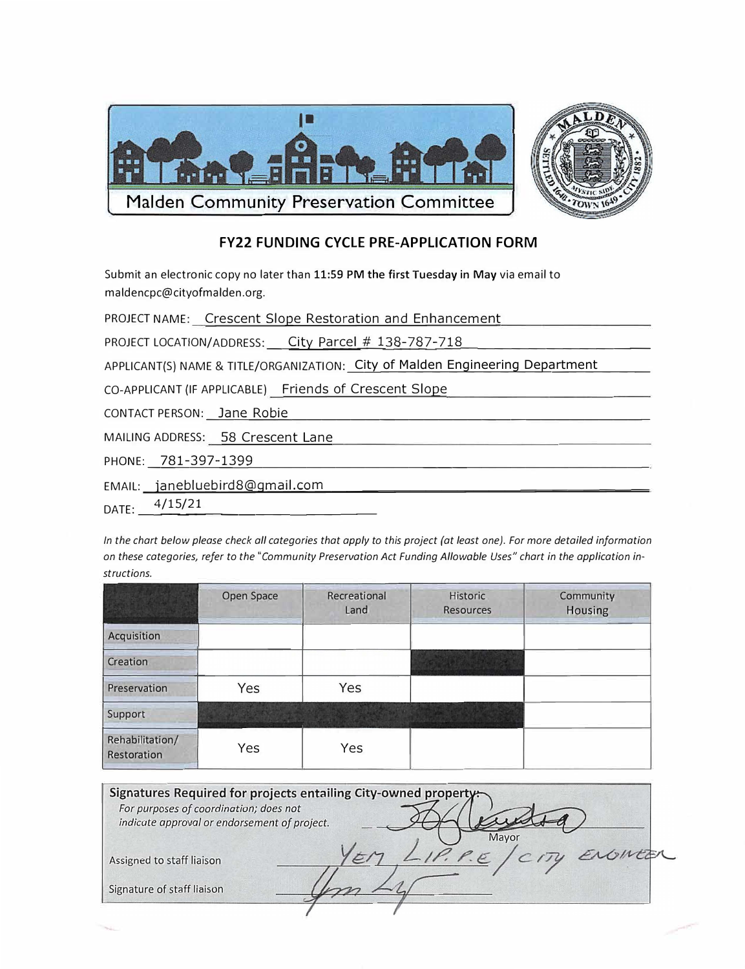

## **FY22 FUNDING CYCLE PRE-APPLICATION FORM**

Submit an electronic copy no later than 11:59 PM the first Tuesday in May via email to maldencpc@cityofmalden.org.

PROJECT NAME: \_Crescent Slope Restoration and Enhancement\_

PROJECT LOCATION/ADDRESS: City Parcel # 138-787-718

APPLICANT(S) NAME & TITLE/ORGANIZATION: City of Malden Engineering Department

CO-APPLICANT (IF APPLICABLE) Friends of Crescent Slope

CONTACT PERSON: Jane Robie

MAILING ADDRESS: 58 Crescent Lane

PHONE: 781-397-1399

EMAIL: janebluebird8@gmail.com

 $4/15/21$ DATE:

In the chart below please check all categories that apply to this project (at least one). For more detailed information on these categories, refer to the "Community Preservation Act Funding Allowable Uses" chart in the application instructions.

|                                | Open Space | Recreational<br>Land | Historic<br><b>Resources</b> | Community<br>Housing |
|--------------------------------|------------|----------------------|------------------------------|----------------------|
| Acquisition                    |            |                      |                              |                      |
| Creation                       |            |                      |                              |                      |
| Preservation                   | Yes        | Yes                  |                              |                      |
| Support                        |            |                      |                              |                      |
| Rehabilitation/<br>Restoration | Yes        | Yes                  |                              |                      |

| Signatures Required for projects entailing City-owned property:<br>For purposes of coordination; does not<br>indicate approval or endorsement of project. |  |  |  |
|-----------------------------------------------------------------------------------------------------------------------------------------------------------|--|--|--|
|                                                                                                                                                           |  |  |  |
| Assigned to staff liaison                                                                                                                                 |  |  |  |
| Signature of staff liaison                                                                                                                                |  |  |  |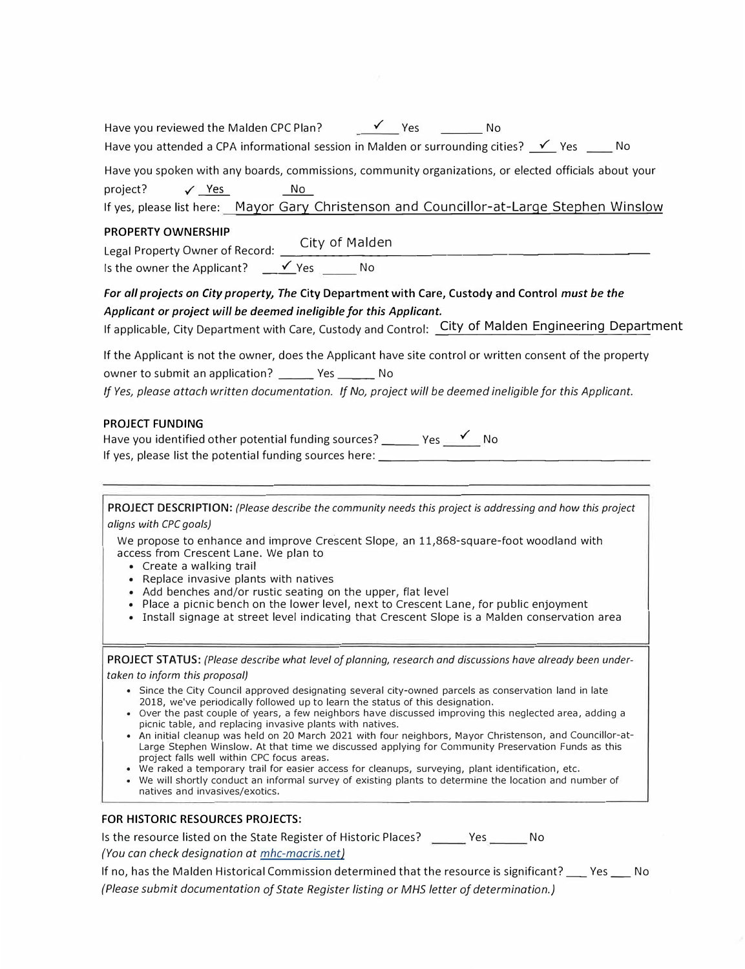| Have you reviewed the Malden CPC Plan? Ves<br>No<br>Have you attended a CPA informational session in Malden or surrounding cities? $\checkmark$ Yes ____ No                                                                                                                                                                                                                                                                                                                                                                                                                                                                                                                                                                                                                                                                                                                                                                                                                                                                        |
|------------------------------------------------------------------------------------------------------------------------------------------------------------------------------------------------------------------------------------------------------------------------------------------------------------------------------------------------------------------------------------------------------------------------------------------------------------------------------------------------------------------------------------------------------------------------------------------------------------------------------------------------------------------------------------------------------------------------------------------------------------------------------------------------------------------------------------------------------------------------------------------------------------------------------------------------------------------------------------------------------------------------------------|
| Have you spoken with any boards, commissions, community organizations, or elected officials about your<br>project?<br>No<br>$\checkmark$ Yes<br>If yes, please list here: Mayor Gary Christenson and Councillor-at-Large Stephen Winslow                                                                                                                                                                                                                                                                                                                                                                                                                                                                                                                                                                                                                                                                                                                                                                                           |
| <b>PROPERTY OWNERSHIP</b><br>Legal Property Owner of Record: City of Malden                                                                                                                                                                                                                                                                                                                                                                                                                                                                                                                                                                                                                                                                                                                                                                                                                                                                                                                                                        |
| For all projects on City property, The City Department with Care, Custody and Control must be the<br>Applicant or project will be deemed ineligible for this Applicant.<br>If applicable, City Department with Care, Custody and Control: City of Malden Engineering Department                                                                                                                                                                                                                                                                                                                                                                                                                                                                                                                                                                                                                                                                                                                                                    |
| If the Applicant is not the owner, does the Applicant have site control or written consent of the property<br>owner to submit an application? ________ Yes ________ No<br>If Yes, please attach written documentation. If No, project will be deemed ineligible for this Applicant.                                                                                                                                                                                                                                                                                                                                                                                                                                                                                                                                                                                                                                                                                                                                                |
| <b>PROJECT FUNDING</b><br>Have you identified other potential funding sources? ______ Yes __ <del>√</del> __ No<br>If yes, please list the potential funding sources here: ________________________                                                                                                                                                                                                                                                                                                                                                                                                                                                                                                                                                                                                                                                                                                                                                                                                                                |
| PROJECT DESCRIPTION: (Please describe the community needs this project is addressing and how this project<br>aligns with CPC goals)<br>We propose to enhance and improve Crescent Slope, an 11,868-square-foot woodland with<br>access from Crescent Lane. We plan to<br>• Create a walking trail<br>• Replace invasive plants with natives<br>• Add benches and/or rustic seating on the upper, flat level<br>• Place a picnic bench on the lower level, next to Crescent Lane, for public enjoyment<br>• Install signage at street level indicating that Crescent Slope is a Malden conservation area                                                                                                                                                                                                                                                                                                                                                                                                                            |
| PROJECT STATUS: (Please describe what level of planning, research and discussions have already been under-<br>taken to inform this proposal)<br>• Since the City Council approved designating several city-owned parcels as conservation land in late<br>2018, we've periodically followed up to learn the status of this designation.<br>• Over the past couple of years, a few neighbors have discussed improving this neglected area, adding a<br>picnic table, and replacing invasive plants with natives.<br>• An initial cleanup was held on 20 March 2021 with four neighbors, Mayor Christenson, and Councillor-at-<br>Large Stephen Winslow. At that time we discussed applying for Community Preservation Funds as this<br>project falls well within CPC focus areas.<br>. We raked a temporary trail for easier access for cleanups, surveying, plant identification, etc.<br>• We will shortly conduct an informal survey of existing plants to determine the location and number of<br>natives and invasives/exotics. |
| FOR HISTORIC RESOURCES PROJECTS:<br>Is the resource listed on the State Register of Historic Places? ______ Yes ______ No<br>(You can check designation at mhc-macris.net)                                                                                                                                                                                                                                                                                                                                                                                                                                                                                                                                                                                                                                                                                                                                                                                                                                                         |

If no, has the Malden Historical Commission determined that the resource is significant? \_\_ Yes \_\_ No *(Please submit documentation of State Register listing or MHS letter af determination.)*